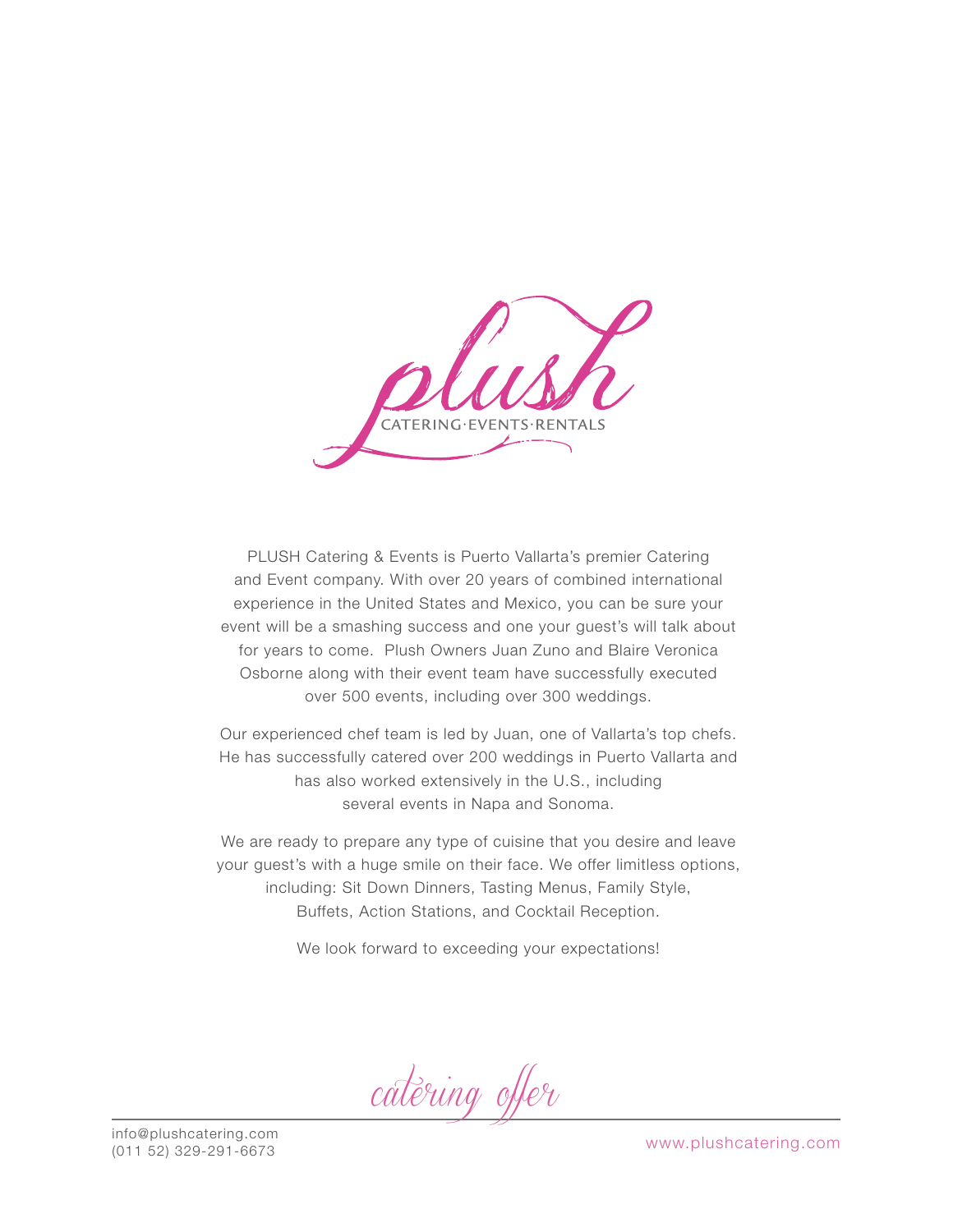$CATFRING-FVFNTS+RFNTAIS$ 

PLUSH Catering & Events is Puerto Vallarta's premier Catering and Event company. With over 20 years of combined international experience in the United States and Mexico, you can be sure your event will be a smashing success and one your guest's will talk about for years to come. Plush Owners Juan Zuno and Blaire Veronica Osborne along with their event team have successfully executed over 500 events, including over 300 weddings.

Our experienced chef team is led by Juan, one of Vallarta's top chefs. He has successfully catered over 200 weddings in Puerto Vallarta and has also worked extensively in the U.S., including several events in Napa and Sonoma.

We are ready to prepare any type of cuisine that you desire and leave your guest's with a huge smile on their face. We offer limitless options, including: Sit Down Dinners, Tasting Menus, Family Style, Buffets, Action Stations, and Cocktail Reception.

We look forward to exceeding your expectations!

catering offer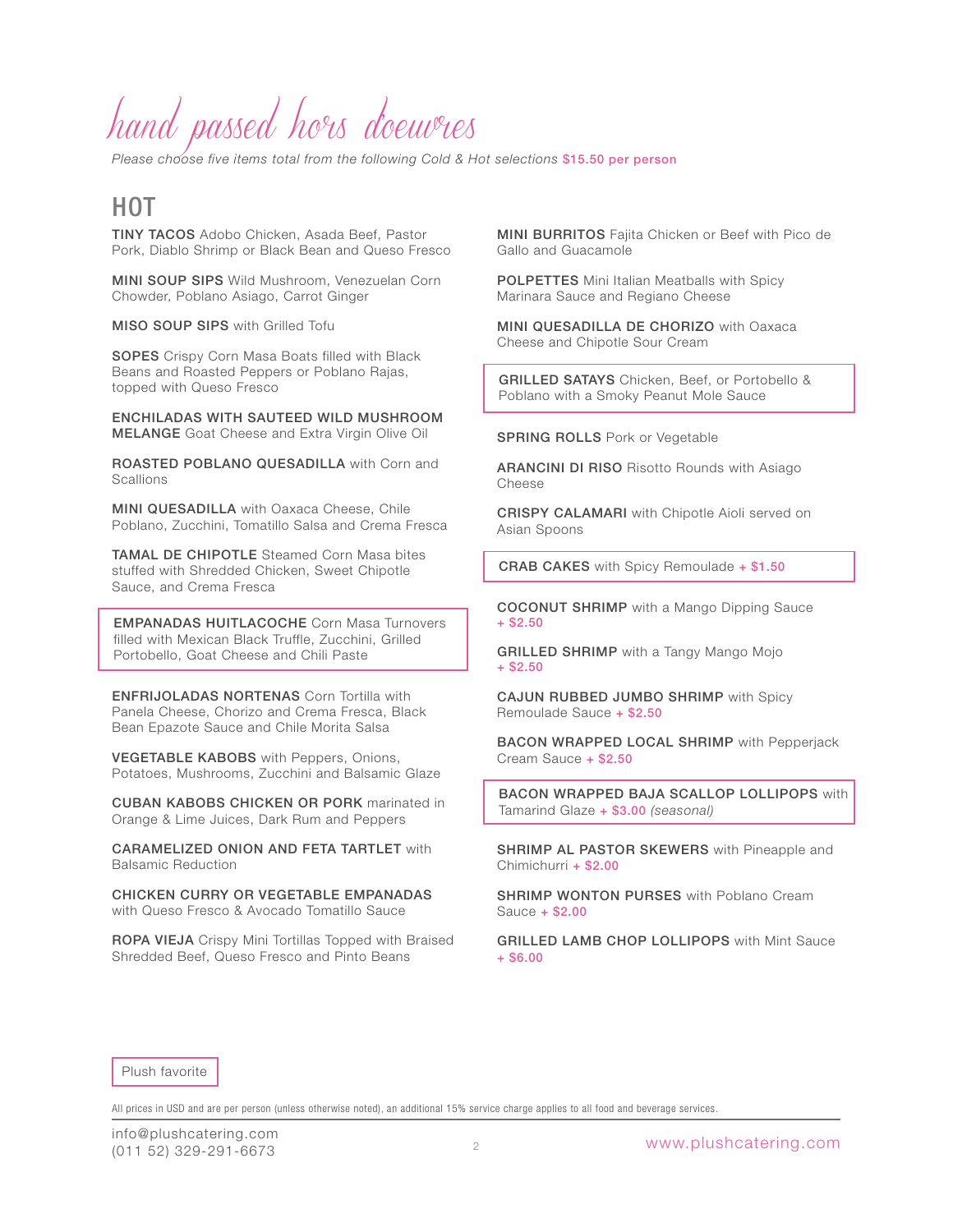# hand passed hors d'oeuvres

*Please choose five items total from the following Cold & Hot selections* \$15.50 per person

## HOT

TINY TACOS Adobo Chicken, Asada Beef, Pastor Pork, Diablo Shrimp or Black Bean and Queso Fresco

MINI SOUP SIPS Wild Mushroom, Venezuelan Corn Chowder, Poblano Asiago, Carrot Ginger

MISO SOUP SIPS with Grilled Tofu

SOPES Crispy Corn Masa Boats filled with Black Beans and Roasted Peppers or Poblano Rajas, topped with Queso Fresco

ENCHILADAS WITH SAUTEED WILD MUSHROOM MELANGE Goat Cheese and Extra Virgin Olive Oil

ROASTED POBLANO QUESADILLA with Corn and **Scallions** 

**MINI QUESADILLA** with Oaxaca Cheese, Chile Poblano, Zucchini, Tomatillo Salsa and Crema Fresca

TAMAL DE CHIPOTLE Steamed Corn Masa bites stuffed with Shredded Chicken, Sweet Chipotle Sauce, and Crema Fresca

EMPANADAS HUITLACOCHE Corn Masa Turnovers filled with Mexican Black Truffle, Zucchini, Grilled Portobello, Goat Cheese and Chili Paste

ENFRIJOLADAS NORTENAS Corn Tortilla with Panela Cheese, Chorizo and Crema Fresca, Black Bean Epazote Sauce and Chile Morita Salsa

VEGETABLE KABOBS with Peppers, Onions, Potatoes, Mushrooms, Zucchini and Balsamic Glaze

CUBAN KABOBS CHICKEN OR PORK marinated in Orange & Lime Juices, Dark Rum and Peppers

CARAMELIZED ONION AND FETA TARTLET with Balsamic Reduction

CHICKEN CURRY OR VEGETABLE EMPANADAS with Queso Fresco & Avocado Tomatillo Sauce

ROPA VIEJA Crispy Mini Tortillas Topped with Braised Shredded Beef, Queso Fresco and Pinto Beans

MINI BURRITOS Fajita Chicken or Beef with Pico de Gallo and Guacamole

POLPETTES Mini Italian Meatballs with Spicy Marinara Sauce and Regiano Cheese

MINI QUESADILLA DE CHORIZO with Oaxaca Cheese and Chipotle Sour Cream

GRILLED SATAYS Chicken, Beef, or Portobello & Poblano with a Smoky Peanut Mole Sauce

SPRING ROLLS Pork or Vegetable

**ARANCINI DI RISO Risotto Rounds with Asiago** Cheese

CRISPY CALAMARI with Chipotle Aioli served on Asian Spoons

CRAB CAKES with Spicy Remoulade + \$1.50

COCONUT SHRIMP with a Mango Dipping Sauce + \$2.50

GRILLED SHRIMP with a Tangy Mango Mojo + \$2.50

CAJUN RUBBED JUMBO SHRIMP with Spicy Remoulade Sauce + \$2.50

BACON WRAPPED LOCAL SHRIMP with Pepperjack Cream Sauce + \$2.50

BACON WRAPPED BAJA SCALLOP LOLLIPOPS with Tamarind Glaze + \$3.00 *(seasonal)*

**SHRIMP AL PASTOR SKEWERS** with Pineapple and Chimichurri + \$2.00

**SHRIMP WONTON PURSES** with Poblano Cream Sauce + \$2.00

**GRILLED LAMB CHOP LOLLIPOPS** with Mint Sauce + \$6.00

Plush favorite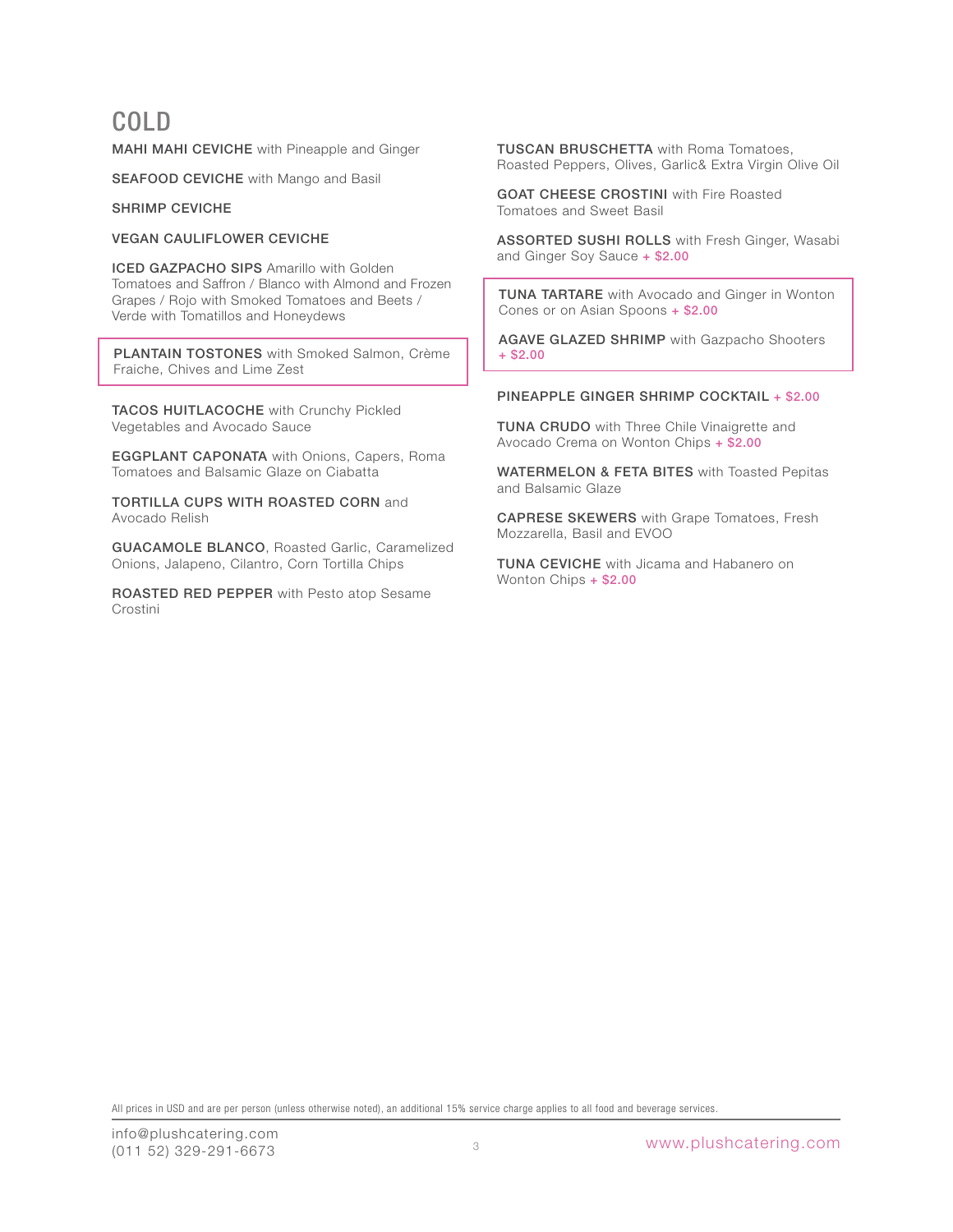## COLD

MAHI MAHI CEVICHE with Pineapple and Ginger

SEAFOOD CEVICHE with Mango and Basil

SHRIMP CEVICHE

VEGAN CAULIFLOWER CEVICHE

**ICED GAZPACHO SIPS Amarillo with Golden** Tomatoes and Saffron / Blanco with Almond and Frozen Grapes / Rojo with Smoked Tomatoes and Beets / Verde with Tomatillos and Honeydews

PLANTAIN TOSTONES with Smoked Salmon, Crème Fraiche, Chives and Lime Zest

TACOS HUITLACOCHE with Crunchy Pickled Vegetables and Avocado Sauce

EGGPLANT CAPONATA with Onions, Capers, Roma Tomatoes and Balsamic Glaze on Ciabatta

TORTILLA CUPS WITH ROASTED CORN and Avocado Relish

GUACAMOLE BLANCO, Roasted Garlic, Caramelized Onions, Jalapeno, Cilantro, Corn Tortilla Chips

ROASTED RED PEPPER with Pesto atop Sesame Crostini

TUSCAN BRUSCHETTA with Roma Tomatoes, Roasted Peppers, Olives, Garlic& Extra Virgin Olive Oil

GOAT CHEESE CROSTINI with Fire Roasted Tomatoes and Sweet Basil

ASSORTED SUSHI ROLLS with Fresh Ginger, Wasabi and Ginger Soy Sauce + \$2.00

TUNA TARTARE with Avocado and Ginger in Wonton Cones or on Asian Spoons + \$2.00

AGAVE GLAZED SHRIMP with Gazpacho Shooters  $+$ \$2.00

### PINEAPPLE GINGER SHRIMP COCKTAIL + \$2.00

TUNA CRUDO with Three Chile Vinaigrette and Avocado Crema on Wonton Chips + \$2.00

WATERMELON & FETA BITES with Toasted Pepitas and Balsamic Glaze

CAPRESE SKEWERS with Grape Tomatoes, Fresh Mozzarella, Basil and EVOO

TUNA CEVICHE with Jicama and Habanero on Wonton Chips + \$2.00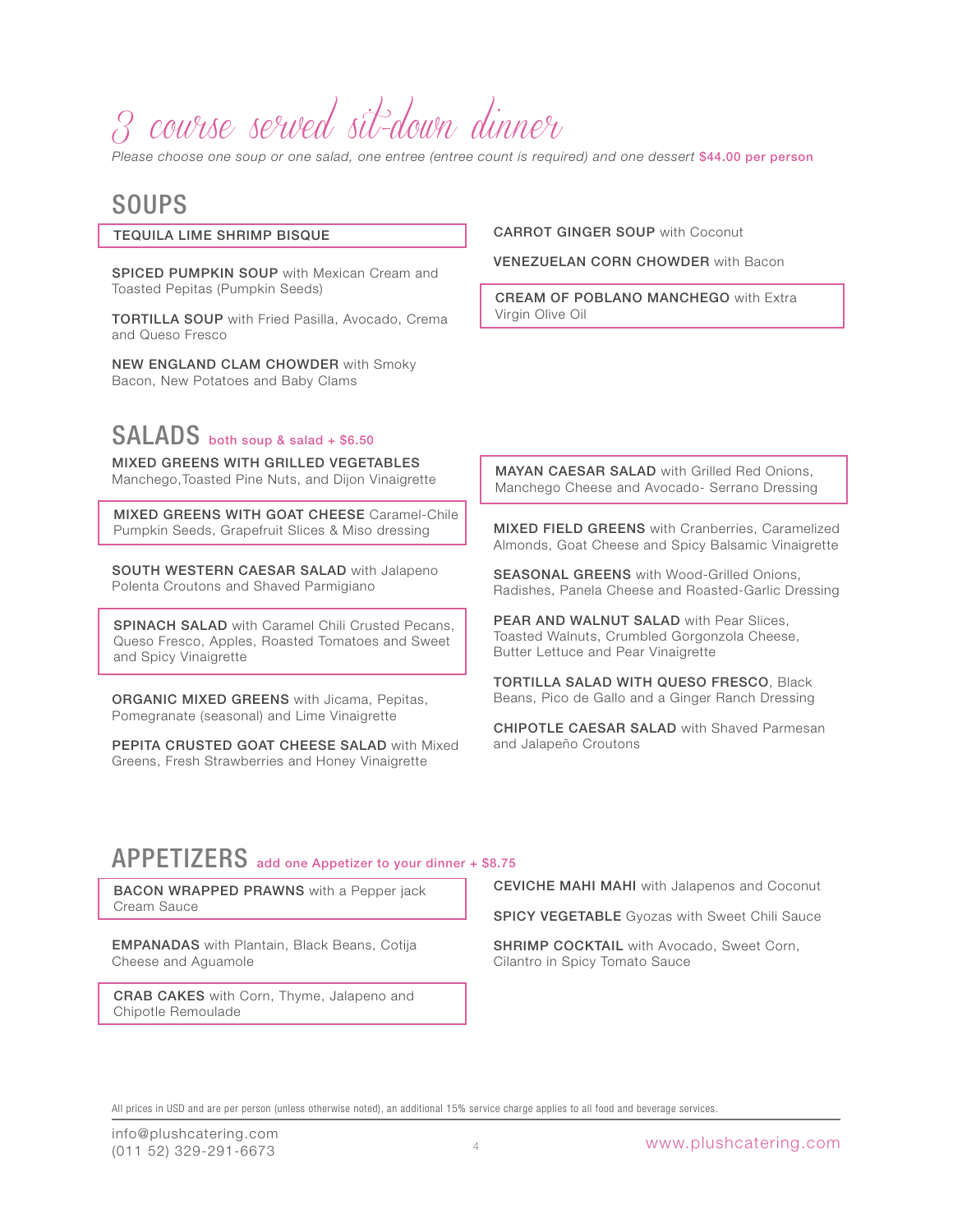# 3 course served sit-down dinner

*Please choose one soup or one salad, one entree (entree count is required) and one dessert* \$44.00 per person

## SOUPS

#### TEQUILA LIME SHRIMP BISQUE

SPICED PUMPKIN SOUP with Mexican Cream and Toasted Pepitas (Pumpkin Seeds)

TORTILLA SOUP with Fried Pasilla, Avocado, Crema and Queso Fresco

NEW ENGLAND CLAM CHOWDER with Smoky Bacon, New Potatoes and Baby Clams

## SALADS both soup & salad + \$6.50

MIXED GREENS WITH GRILLED VEGETABLES Manchego,Toasted Pine Nuts, and Dijon Vinaigrette

MIXED GREENS WITH GOAT CHEESE Caramel-Chile Pumpkin Seeds, Grapefruit Slices & Miso dressing

SOUTH WESTERN CAESAR SALAD with Jalapeno Polenta Croutons and Shaved Parmigiano

**SPINACH SALAD** with Caramel Chili Crusted Pecans, Queso Fresco, Apples, Roasted Tomatoes and Sweet and Spicy Vinaigrette

ORGANIC MIXED GREENS with Jicama, Pepitas, Pomegranate (seasonal) and Lime Vinaigrette

PEPITA CRUSTED GOAT CHEESE SALAD with Mixed Greens, Fresh Strawberries and Honey Vinaigrette

CARROT GINGER SOUP with Coconut

VENEZUELAN CORN CHOWDER with Bacon

CREAM OF POBLANO MANCHEGO with Extra Virgin Olive Oil

MAYAN CAESAR SALAD with Grilled Red Onions, Manchego Cheese and Avocado- Serrano Dressing

MIXED FIELD GREENS with Cranberries, Caramelized Almonds, Goat Cheese and Spicy Balsamic Vinaigrette

SEASONAL GREENS with Wood-Grilled Onions, Radishes, Panela Cheese and Roasted-Garlic Dressing

PEAR AND WALNUT SALAD with Pear Slices. Toasted Walnuts, Crumbled Gorgonzola Cheese, Butter Lettuce and Pear Vinaigrette

TORTILLA SALAD WITH QUESO FRESCO, Black Beans, Pico de Gallo and a Ginger Ranch Dressing

CHIPOTLE CAESAR SALAD with Shaved Parmesan and Jalapeño Croutons

## APPETIZERS add one Appetizer to your dinner + \$8.75

BACON WRAPPED PRAWNS with a Pepper jack Cream Sauce

EMPANADAS with Plantain, Black Beans, Cotija Cheese and Aguamole

CRAB CAKES with Corn, Thyme, Jalapeno and Chipotle Remoulade

CEVICHE MAHI MAHI with Jalapenos and Coconut

SPICY VEGETABLE Gyozas with Sweet Chili Sauce

**SHRIMP COCKTAIL** with Avocado, Sweet Corn, Cilantro in Spicy Tomato Sauce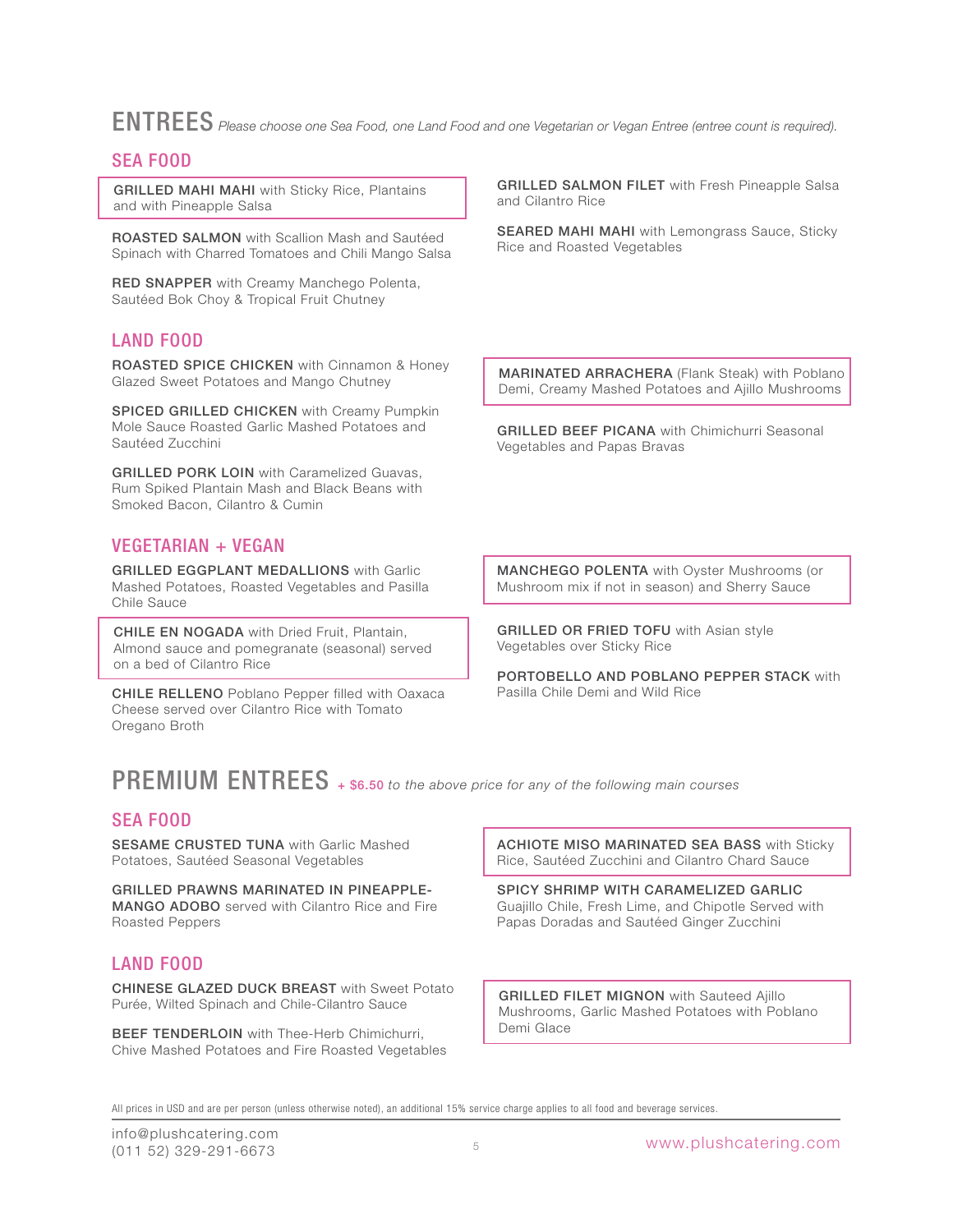ENTREES *Please choose one Sea Food, one Land Food and one Vegetarian or Vegan Entree (entree count is required).*

## SEA FOOD

GRILLED MAHI MAHI with Sticky Rice, Plantains and with Pineapple Salsa

ROASTED SALMON with Scallion Mash and Sautéed Spinach with Charred Tomatoes and Chili Mango Salsa

RED SNAPPER with Creamy Manchego Polenta, Sautéed Bok Choy & Tropical Fruit Chutney

## LAND FOOD

ROASTED SPICE CHICKEN with Cinnamon & Honey Glazed Sweet Potatoes and Mango Chutney

SPICED GRILLED CHICKEN with Creamy Pumpkin Mole Sauce Roasted Garlic Mashed Potatoes and Sautéed Zucchini

GRILLED PORK LOIN with Caramelized Guavas, Rum Spiked Plantain Mash and Black Beans with Smoked Bacon, Cilantro & Cumin

## VEGETARIAN + VEGAN

GRILLED EGGPLANT MEDALLIONS with Garlic Mashed Potatoes, Roasted Vegetables and Pasilla Chile Sauce

CHILE EN NOGADA with Dried Fruit, Plantain, Almond sauce and pomegranate (seasonal) served on a bed of Cilantro Rice

CHILE RELLENO Poblano Pepper filled with Oaxaca Cheese served over Cilantro Rice with Tomato Oregano Broth

**GRILLED SALMON FILET** with Fresh Pineapple Salsa and Cilantro Rice

**SEARED MAHI MAHI** with Lemongrass Sauce, Sticky Rice and Roasted Vegetables

MARINATED ARRACHERA (Flank Steak) with Poblano Demi, Creamy Mashed Potatoes and Ajillo Mushrooms

GRILLED BEEF PICANA with Chimichurri Seasonal Vegetables and Papas Bravas

MANCHEGO POLENTA with Oyster Mushrooms (or Mushroom mix if not in season) and Sherry Sauce

**GRILLED OR FRIED TOFU** with Asian style Vegetables over Sticky Rice

PORTOBELLO AND POBLANO PEPPER STACK with Pasilla Chile Demi and Wild Rice

# PREMIUM ENTREES + \$6.50 *to the above price for any of the following main courses*

## SEA FOOD

SESAME CRUSTED TUNA with Garlic Mashed Potatoes, Sautéed Seasonal Vegetables

GRILLED PRAWNS MARINATED IN PINEAPPLE-MANGO ADOBO served with Cilantro Rice and Fire Roasted Peppers

## LAND FOOD

CHINESE GLAZED DUCK BREAST with Sweet Potato Purée, Wilted Spinach and Chile-Cilantro Sauce

BEEF TENDERLOIN with Thee-Herb Chimichurri, Chive Mashed Potatoes and Fire Roasted Vegetables ACHIOTE MISO MARINATED SEA BASS with Sticky Rice, Sautéed Zucchini and Cilantro Chard Sauce

SPICY SHRIMP WITH CARAMELIZED GARLIC Guajillo Chile, Fresh Lime, and Chipotle Served with Papas Doradas and Sautéed Ginger Zucchini

**GRILLED FILET MIGNON** with Sauteed Ajillo Mushrooms, Garlic Mashed Potatoes with Poblano Demi Glace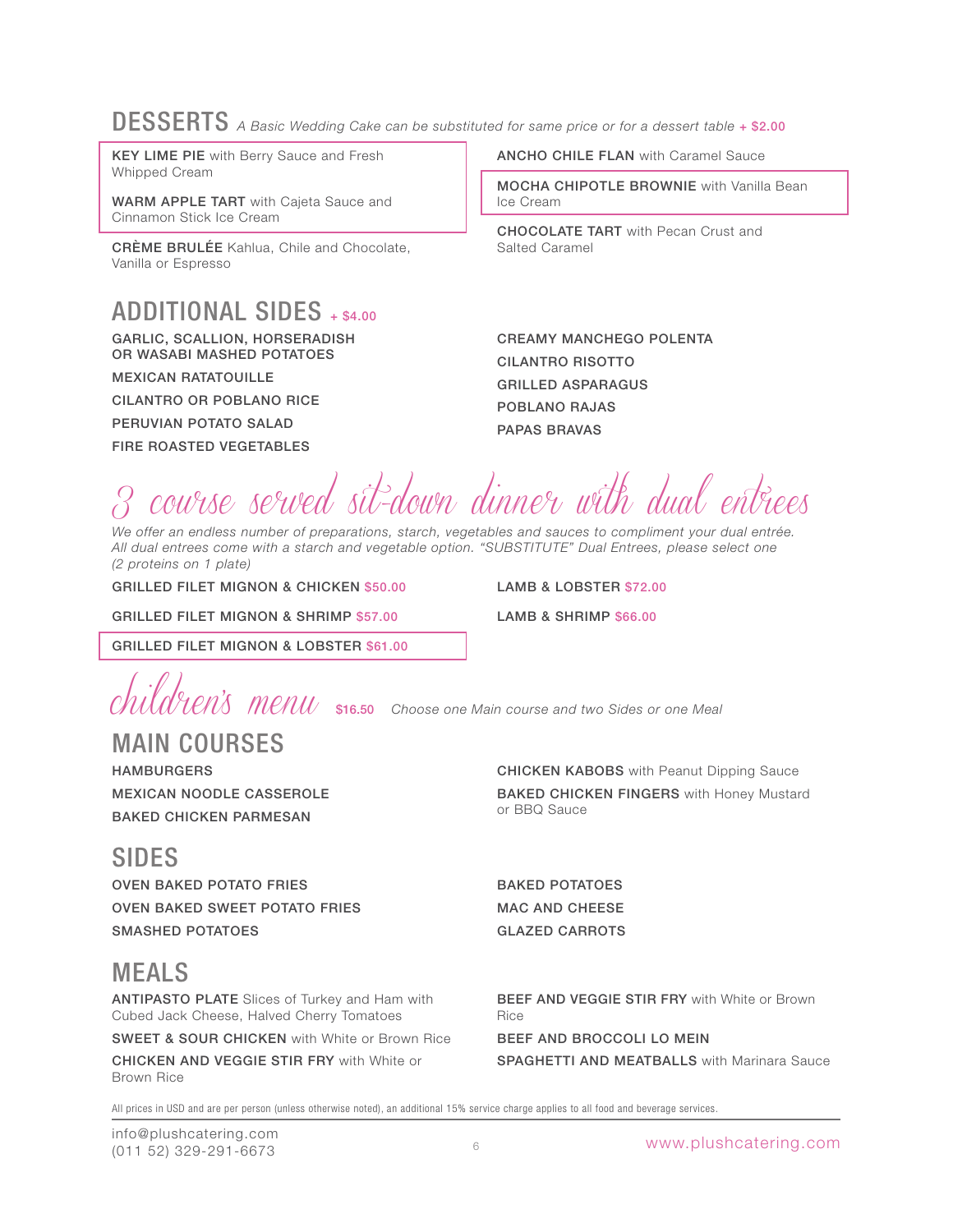# DESSERTS A Basic Wedding Cake can be substituted for same price or for a dessert table + \$2.00

KEY LIME PIE with Berry Sauce and Fresh Whipped Cream

WARM APPLE TART with Cajeta Sauce and Cinnamon Stick Ice Cream

CRÈME BRULÉE Kahlua, Chile and Chocolate, Vanilla or Espresso

## ADDITIONAL SIDES + \$4.00

GARLIC, SCALLION, HORSERADISH OR WASABI MASHED POTATOES

MEXICAN RATATOUILLE

CILANTRO OR POBLANO RICE

PERUVIAN POTATO SALAD

FIRE ROASTED VEGETABLES

ANCHO CHILE FLAN with Caramel Sauce

MOCHA CHIPOTLE BROWNIE with Vanilla Bean Ice Cream

CHOCOLATE TART with Pecan Crust and Salted Caramel

CREAMY MANCHEGO POLENTA CILANTRO RISOTTO GRILLED ASPARAGUS POBLANO RAJAS PAPAS BRAVAS

course served sit-down dinner with dual entrees

*We offer an endless number of preparations, starch, vegetables and sauces to compliment your dual entrée. All dual entrees come with a starch and vegetable option. "SUBSTITUTE" Dual Entrees, please select one (2 proteins on 1 plate)*

GRILLED FILET MIGNON & CHICKEN \$50.00

LAMB & LOBSTER \$72.00 LAMB & SHRIMP \$66.00

GRILLED FILET MIGNON & SHRIMP \$57.00

GRILLED FILET MIGNON & LOBSTER \$61.00

 $\frac{1}{2}$ 

# MAIN COURSES

HAMBURGERS MEXICAN NOODLE CASSEROLE BAKED CHICKEN PARMESAN

## CHICKEN KABOBS with Peanut Dipping Sauce BAKED CHICKEN FINGERS with Honey Mustard or BBQ Sauce

# SIDES

OVEN BAKED POTATO FRIES OVEN BAKED SWEET POTATO FRIES SMASHED POTATOES

# MEALS

ANTIPASTO PLATE Slices of Turkey and Ham with Cubed Jack Cheese, Halved Cherry Tomatoes

SWEET & SOUR CHICKEN with White or Brown Rice

CHICKEN AND VEGGIE STIR FRY with White or Brown Rice

BAKED POTATOES MAC AND CHEESE GLAZED CARROTS

BEEF AND VEGGIE STIR FRY with White or Brown Rice

BEEF AND BROCCOLI LO MEIN

SPAGHETTI AND MEATBALLS with Marinara Sauce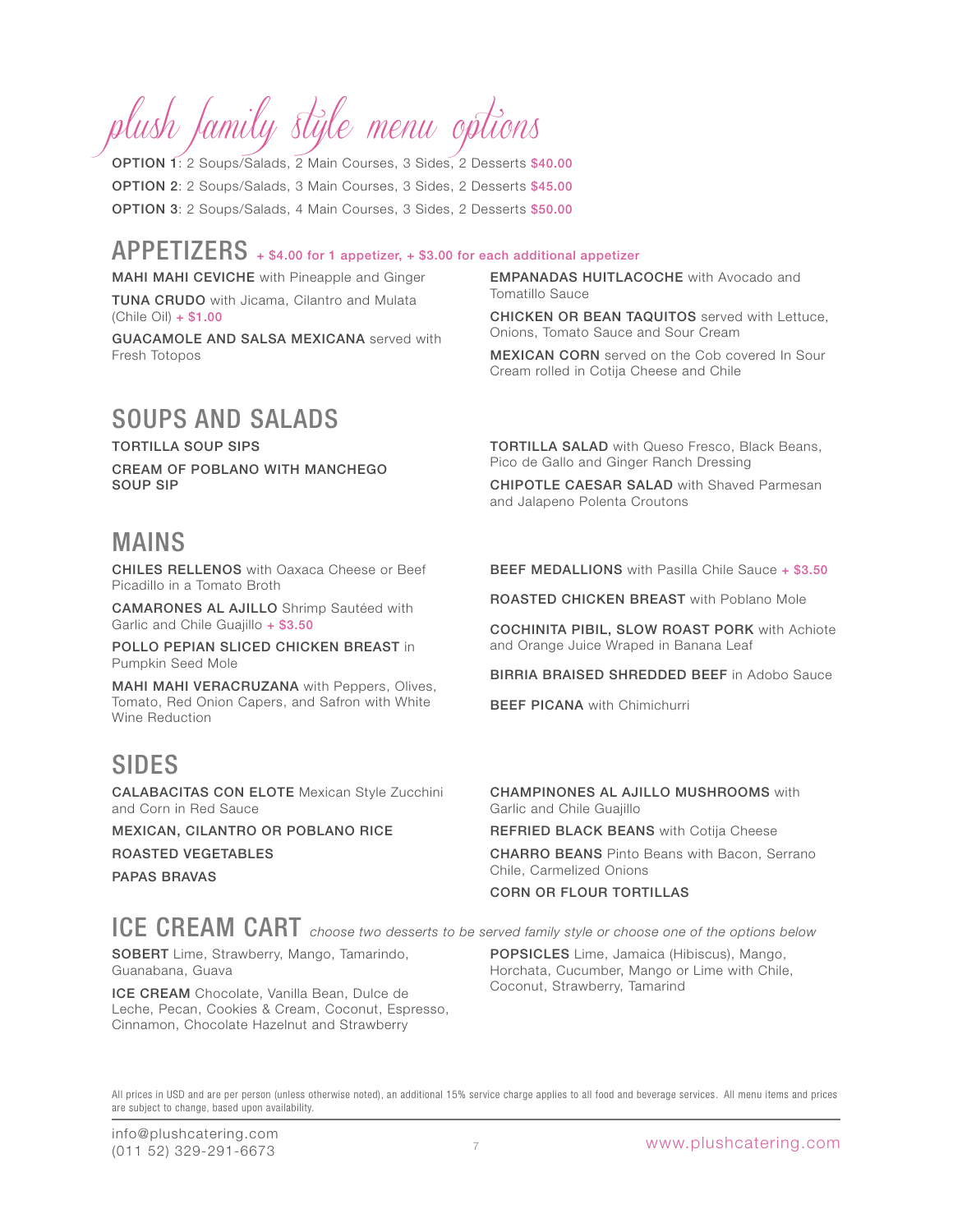# plush family style menu options

OPTION 1: 2 Soups/Salads, 2 Main Courses, 3 Sides, 2 Desserts \$40.00 OPTION 2: 2 Soups/Salads, 3 Main Courses, 3 Sides, 2 Desserts \$45.00 OPTION 3: 2 Soups/Salads, 4 Main Courses, 3 Sides, 2 Desserts \$50.00

## APPETIZERS + \$4.00 for 1 appetizer, + \$3.00 for each additional appetizer

MAHI MAHI CEVICHE with Pineapple and Ginger **TUNA CRUDO** with Jicama, Cilantro and Mulata (Chile Oil) + \$1.00

GUACAMOLE AND SALSA MEXICANA served with Fresh Totopos

# SOUPS AND SALADS

TORTILLA SOUP SIPS

CREAM OF POBLANO WITH MANCHEGO SOUP SIP

## TORTILLA SALAD with Queso Fresco, Black Beans, Pico de Gallo and Ginger Ranch Dressing

EMPANADAS HUITLACOCHE with Avocado and

Onions, Tomato Sauce and Sour Cream

Cream rolled in Cotija Cheese and Chile

CHICKEN OR BEAN TAQUITOS served with Lettuce,

MEXICAN CORN served on the Cob covered In Sour

Tomatillo Sauce

CHIPOTLE CAESAR SALAD with Shaved Parmesan and Jalapeno Polenta Croutons

BEEF MEDALLIONS with Pasilla Chile Sauce + \$3.50

COCHINITA PIBIL, SLOW ROAST PORK with Achiote

BIRRIA BRAISED SHREDDED BEEF in Adobo Sauce

ROASTED CHICKEN BREAST with Poblano Mole

and Orange Juice Wraped in Banana Leaf

## MAINS

CHILES RELLENOS with Oaxaca Cheese or Beef Picadillo in a Tomato Broth

CAMARONES AL AJILLO Shrimp Sautéed with Garlic and Chile Guajillo + \$3.50

POLLO PEPIAN SLICED CHICKEN BREAST in Pumpkin Seed Mole

MAHI MAHI VERACRUZANA with Peppers, Olives, Tomato, Red Onion Capers, and Safron with White Wine Reduction

# SIDES

CALABACITAS CON ELOTE Mexican Style Zucchini and Corn in Red Sauce

MEXICAN, CILANTRO OR POBLANO RICE ROASTED VEGETABLES

PAPAS BRAVAS

# ICE CREAM CART *choose two desserts to be served family style or choose one of the options below*

SOBERT Lime, Strawberry, Mango, Tamarindo, Guanabana, Guava

ICE CREAM Chocolate, Vanilla Bean, Dulce de Leche, Pecan, Cookies & Cream, Coconut, Espresso, Cinnamon, Chocolate Hazelnut and Strawberry

CHARRO BEANS Pinto Beans with Bacon, Serrano Chile, Carmelized Onions

CHAMPINONES AL AJILLO MUSHROOMS with

REFRIED BLACK BEANS with Cotija Cheese

### CORN OR FLOUR TORTILLAS

Coconut, Strawberry, Tamarind

Garlic and Chile Guajillo

**BEEF PICANA** with Chimichurri

POPSICLES Lime, Jamaica (Hibiscus), Mango, Horchata, Cucumber, Mango or Lime with Chile,

All prices in USD and are per person (unless otherwise noted), an additional 15% service charge applies to all food and beverage services. All menu items and prices are subject to change, based upon availability.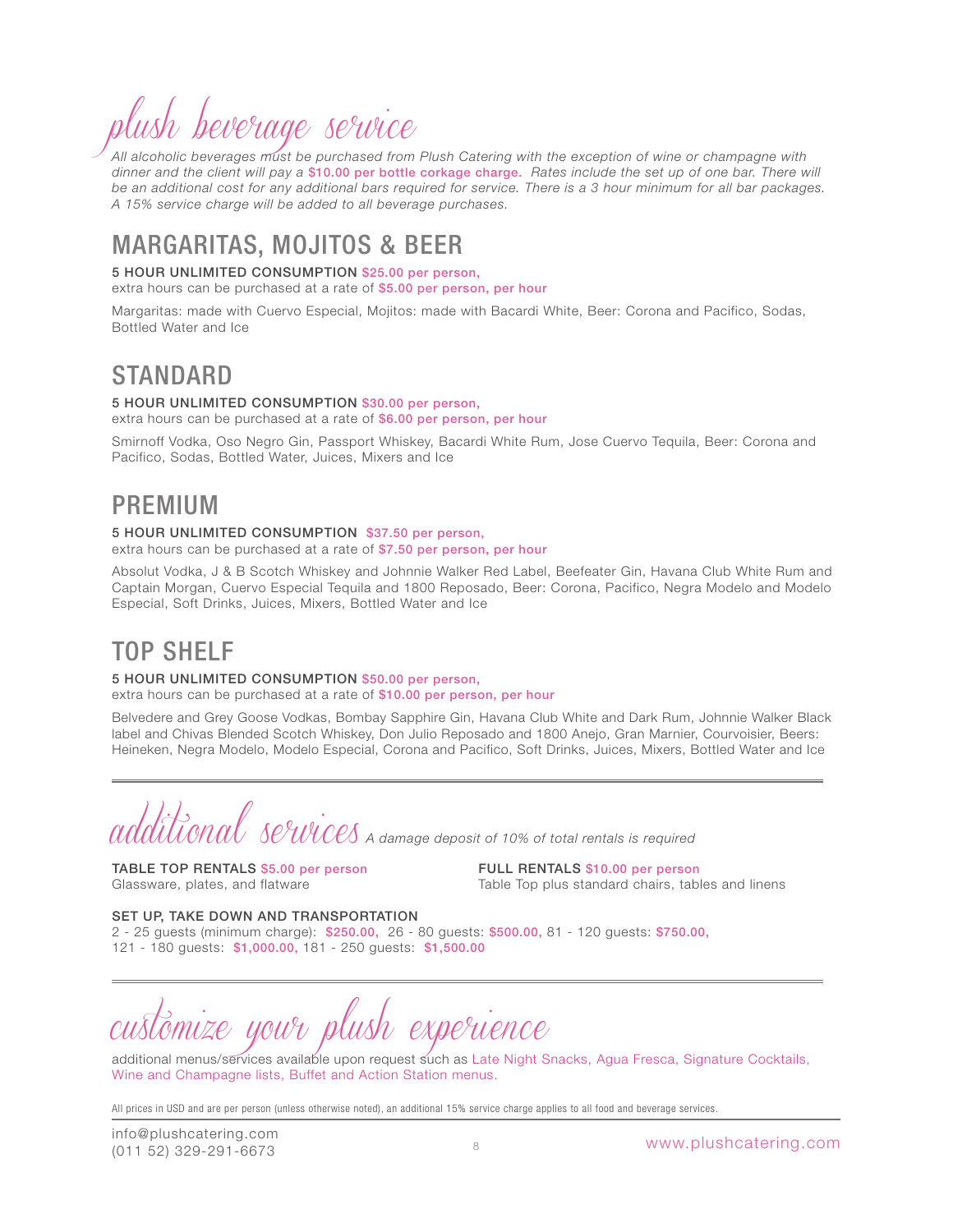# plush beverage service

*All alcoholic beverages must be purchased from Plush Catering with the exception of wine or champagne with dinner and the client will pay a* \$10.00 per bottle corkage charge. *Rates include the set up of one bar. There will*  be an additional cost for any additional bars required for service. There is a 3 hour minimum for all bar packages. *A 15% service charge will be added to all beverage purchases.*

# MARGARITAS, MOJITOS & BEER

### 5 HOUR UNLIMITED CONSUMPTION \$25.00 per person,

extra hours can be purchased at a rate of \$5.00 per person, per hour

Margaritas: made with Cuervo Especial, Mojitos: made with Bacardi White, Beer: Corona and Pacifico, Sodas, Bottled Water and Ice

## STANDARD

### 5 HOUR UNLIMITED CONSUMPTION \$30.00 per person,

extra hours can be purchased at a rate of \$6.00 per person, per hour

Smirnoff Vodka, Oso Negro Gin, Passport Whiskey, Bacardi White Rum, Jose Cuervo Tequila, Beer: Corona and Pacifico, Sodas, Bottled Water, Juices, Mixers and Ice

## PREMIUM

### 5 HOUR UNLIMITED CONSUMPTION \$37.50 per person,

extra hours can be purchased at a rate of \$7.50 per person, per hour

Absolut Vodka, J & B Scotch Whiskey and Johnnie Walker Red Label, Beefeater Gin, Havana Club White Rum and Captain Morgan, Cuervo Especial Tequila and 1800 Reposado, Beer: Corona, Pacifico, Negra Modelo and Modelo Especial, Soft Drinks, Juices, Mixers, Bottled Water and Ice

# TOP SHELF

#### 5 HOUR UNLIMITED CONSUMPTION \$50.00 per person,

extra hours can be purchased at a rate of \$10.00 per person, per hour

Belvedere and Grey Goose Vodkas, Bombay Sapphire Gin, Havana Club White and Dark Rum, Johnnie Walker Black label and Chivas Blended Scotch Whiskey, Don Julio Reposado and 1800 Anejo, Gran Marnier, Courvoisier, Beers: Heineken, Negra Modelo, Modelo Especial, Corona and Pacifico, Soft Drinks, Juices, Mixers, Bottled Water and Ice

L3<br>UONAU SC<sup>9</sup>UVOCS A damage deposit of 10% of total rentals is required

TABLE TOP RENTALS \$5.00 per person Glassware, plates, and flatware

FULL RENTALS \$10.00 per person Table Top plus standard chairs, tables and linens

#### SET UP, TAKE DOWN AND TRANSPORTATION

2 - 25 guests (minimum charge): \$250.00, 26 - 80 guests: \$500.00, 81 - 120 guests: \$750.00, 121 - 180 guests: \$1,000.00, 181 - 250 guests: \$1,500.00

experience

additional menus/services available upon request such as Late Night Snacks, Agua Fresca, Signature Cocktails, Wine and Champagne lists, Buffet and Action Station menus.